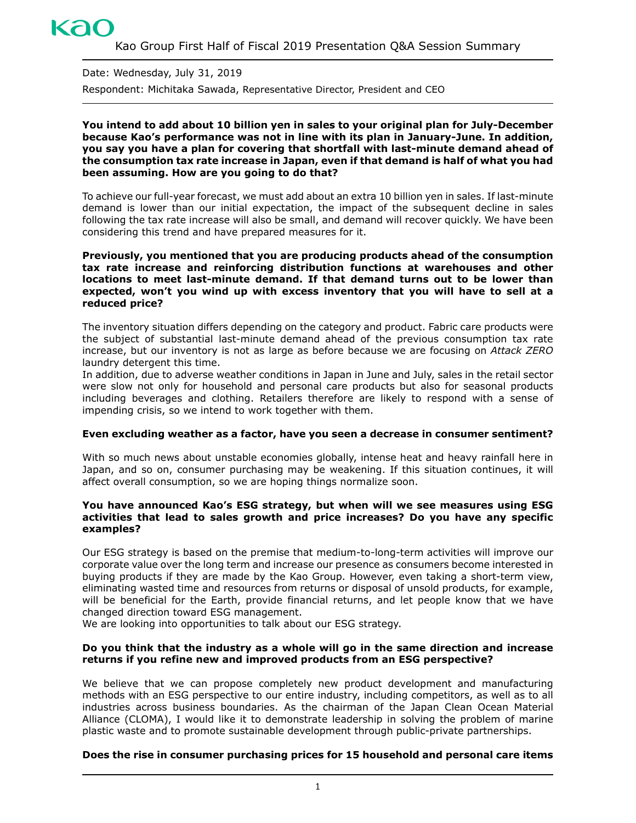# kac

Date: Wednesday, July 31, 2019 Respondent: Michitaka Sawada, Representative Director, President and CEO

#### **You intend to add about 10 billion yen in sales to your original plan for July-December because Kao's performance was not in line with its plan in January-June. In addition, you say you have a plan for covering that shortfall with last-minute demand ahead of the consumption tax rate increase in Japan, even if that demand is half of what you had been assuming. How are you going to do that?**

To achieve our full-year forecast, we must add about an extra 10 billion yen in sales. If last-minute demand is lower than our initial expectation, the impact of the subsequent decline in sales following the tax rate increase will also be small, and demand will recover quickly. We have been considering this trend and have prepared measures for it.

#### **Previously, you mentioned that you are producing products ahead of the consumption tax rate increase and reinforcing distribution functions at warehouses and other locations to meet last-minute demand. If that demand turns out to be lower than expected, won't you wind up with excess inventory that you will have to sell at a reduced price?**

The inventory situation differs depending on the category and product. Fabric care products were the subject of substantial last-minute demand ahead of the previous consumption tax rate increase, but our inventory is not as large as before because we are focusing on *Attack ZERO* laundry detergent this time.

In addition, due to adverse weather conditions in Japan in June and July, sales in the retail sector were slow not only for household and personal care products but also for seasonal products including beverages and clothing. Retailers therefore are likely to respond with a sense of impending crisis, so we intend to work together with them.

#### **Even excluding weather as a factor, have you seen a decrease in consumer sentiment?**

With so much news about unstable economies globally, intense heat and heavy rainfall here in Japan, and so on, consumer purchasing may be weakening. If this situation continues, it will affect overall consumption, so we are hoping things normalize soon.

#### **You have announced Kao's ESG strategy, but when will we see measures using ESG activities that lead to sales growth and price increases? Do you have any specific examples?**

Our ESG strategy is based on the premise that medium-to-long-term activities will improve our corporate value over the long term and increase our presence as consumers become interested in buying products if they are made by the Kao Group. However, even taking a short-term view, eliminating wasted time and resources from returns or disposal of unsold products, for example, will be beneficial for the Earth, provide financial returns, and let people know that we have changed direction toward ESG management.

We are looking into opportunities to talk about our ESG strategy.

### **Do you think that the industry as a whole will go in the same direction and increase returns if you refine new and improved products from an ESG perspective?**

We believe that we can propose completely new product development and manufacturing methods with an ESG perspective to our entire industry, including competitors, as well as to all industries across business boundaries. As the chairman of the Japan Clean Ocean Material Alliance (CLOMA), I would like it to demonstrate leadership in solving the problem of marine plastic waste and to promote sustainable development through public-private partnerships.

## **Does the rise in consumer purchasing prices for 15 household and personal care items**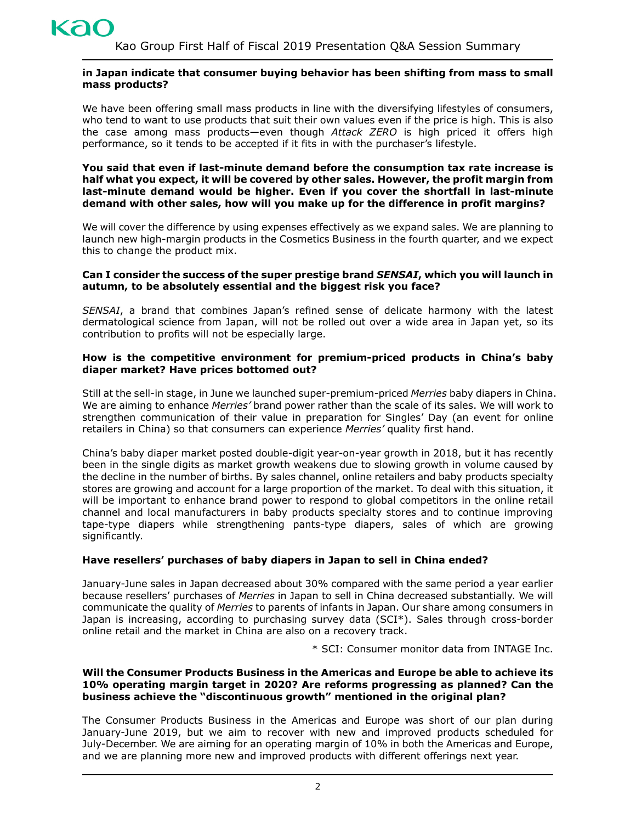

#### **in Japan indicate that consumer buying behavior has been shifting from mass to small mass products?**

We have been offering small mass products in line with the diversifying lifestyles of consumers, who tend to want to use products that suit their own values even if the price is high. This is also the case among mass products—even though *Attack ZERO* is high priced it offers high performance, so it tends to be accepted if it fits in with the purchaser's lifestyle.

**You said that even if last-minute demand before the consumption tax rate increase is half what you expect, it will be covered by other sales. However, the profit margin from last-minute demand would be higher. Even if you cover the shortfall in last-minute demand with other sales, how will you make up for the difference in profit margins?** 

We will cover the difference by using expenses effectively as we expand sales. We are planning to launch new high-margin products in the Cosmetics Business in the fourth quarter, and we expect this to change the product mix.

#### **Can I consider the success of the super prestige brand** *SENSAI***, which you will launch in autumn, to be absolutely essential and the biggest risk you face?**

*SENSAI*, a brand that combines Japan's refined sense of delicate harmony with the latest dermatological science from Japan, will not be rolled out over a wide area in Japan yet, so its contribution to profits will not be especially large.

#### **How is the competitive environment for premium-priced products in China's baby diaper market? Have prices bottomed out?**

Still at the sell-in stage, in June we launched super-premium-priced *Merries* baby diapers in China. We are aiming to enhance *Merries'* brand power rather than the scale of its sales. We will work to strengthen communication of their value in preparation for Singles' Day (an event for online retailers in China) so that consumers can experience *Merries'* quality first hand.

China's baby diaper market posted double-digit year-on-year growth in 2018, but it has recently been in the single digits as market growth weakens due to slowing growth in volume caused by the decline in the number of births. By sales channel, online retailers and baby products specialty stores are growing and account for a large proportion of the market. To deal with this situation, it will be important to enhance brand power to respond to global competitors in the online retail channel and local manufacturers in baby products specialty stores and to continue improving tape-type diapers while strengthening pants-type diapers, sales of which are growing significantly.

#### **Have resellers' purchases of baby diapers in Japan to sell in China ended?**

January-June sales in Japan decreased about 30% compared with the same period a year earlier because resellers' purchases of *Merries* in Japan to sell in China decreased substantially. We will communicate the quality of *Merries* to parents of infants in Japan. Our share among consumers in Japan is increasing, according to purchasing survey data (SCI\*). Sales through cross-border online retail and the market in China are also on a recovery track.

\* SCI: Consumer monitor data from INTAGE Inc.

#### **Will the Consumer Products Business in the Americas and Europe be able to achieve its 10% operating margin target in 2020? Are reforms progressing as planned? Can the business achieve the "discontinuous growth" mentioned in the original plan?**

The Consumer Products Business in the Americas and Europe was short of our plan during January-June 2019, but we aim to recover with new and improved products scheduled for July-December. We are aiming for an operating margin of 10% in both the Americas and Europe, and we are planning more new and improved products with different offerings next year.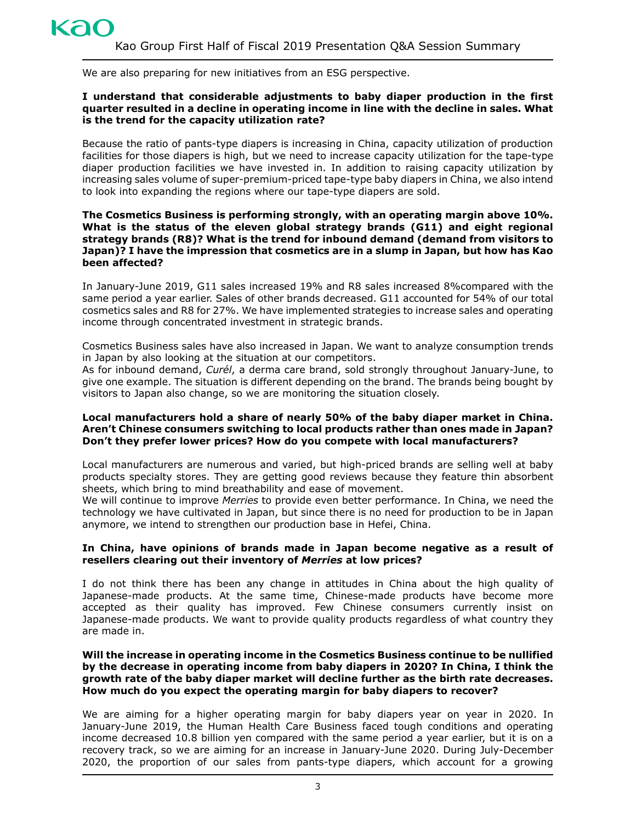We are also preparing for new initiatives from an ESG perspective.

#### **I understand that considerable adjustments to baby diaper production in the first quarter resulted in a decline in operating income in line with the decline in sales. What is the trend for the capacity utilization rate?**

Because the ratio of pants-type diapers is increasing in China, capacity utilization of production facilities for those diapers is high, but we need to increase capacity utilization for the tape-type diaper production facilities we have invested in. In addition to raising capacity utilization by increasing sales volume of super-premium-priced tape-type baby diapers in China, we also intend to look into expanding the regions where our tape-type diapers are sold.

#### **The Cosmetics Business is performing strongly, with an operating margin above 10%. What is the status of the eleven global strategy brands (G11) and eight regional strategy brands (R8)? What is the trend for inbound demand (demand from visitors to Japan)? I have the impression that cosmetics are in a slump in Japan, but how has Kao been affected?**

In January-June 2019, G11 sales increased 19% and R8 sales increased 8%compared with the same period a year earlier. Sales of other brands decreased. G11 accounted for 54% of our total cosmetics sales and R8 for 27%. We have implemented strategies to increase sales and operating income through concentrated investment in strategic brands.

Cosmetics Business sales have also increased in Japan. We want to analyze consumption trends in Japan by also looking at the situation at our competitors.

As for inbound demand, *Curél*, a derma care brand, sold strongly throughout January-June, to give one example. The situation is different depending on the brand. The brands being bought by visitors to Japan also change, so we are monitoring the situation closely.

#### **Local manufacturers hold a share of nearly 50% of the baby diaper market in China. Aren't Chinese consumers switching to local products rather than ones made in Japan? Don't they prefer lower prices? How do you compete with local manufacturers?**

Local manufacturers are numerous and varied, but high-priced brands are selling well at baby products specialty stores. They are getting good reviews because they feature thin absorbent sheets, which bring to mind breathability and ease of movement.

We will continue to improve *Merries* to provide even better performance. In China, we need the technology we have cultivated in Japan, but since there is no need for production to be in Japan anymore, we intend to strengthen our production base in Hefei, China.

#### **In China, have opinions of brands made in Japan become negative as a result of resellers clearing out their inventory of** *Merries* **at low prices?**

I do not think there has been any change in attitudes in China about the high quality of Japanese-made products. At the same time, Chinese-made products have become more accepted as their quality has improved. Few Chinese consumers currently insist on Japanese-made products. We want to provide quality products regardless of what country they are made in.

#### **Will the increase in operating income in the Cosmetics Business continue to be nullified by the decrease in operating income from baby diapers in 2020? In China, I think the growth rate of the baby diaper market will decline further as the birth rate decreases. How much do you expect the operating margin for baby diapers to recover?**

We are aiming for a higher operating margin for baby diapers year on year in 2020. In January-June 2019, the Human Health Care Business faced tough conditions and operating income decreased 10.8 billion yen compared with the same period a year earlier, but it is on a recovery track, so we are aiming for an increase in January-June 2020. During July-December 2020, the proportion of our sales from pants-type diapers, which account for a growing